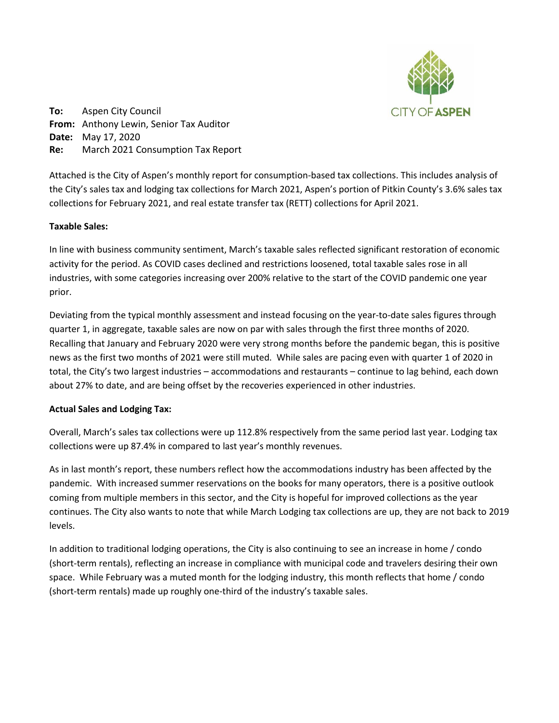

**To:** Aspen City Council **From:** Anthony Lewin, Senior Tax Auditor **Date:** May 17, 2020 **Re:** March 2021 Consumption Tax Report

Attached is the City of Aspen's monthly report for consumption-based tax collections. This includes analysis of the City's sales tax and lodging tax collections for March 2021, Aspen's portion of Pitkin County's 3.6% sales tax collections for February 2021, and real estate transfer tax (RETT) collections for April 2021.

## **Taxable Sales:**

In line with business community sentiment, March's taxable sales reflected significant restoration of economic activity for the period. As COVID cases declined and restrictions loosened, total taxable sales rose in all industries, with some categories increasing over 200% relative to the start of the COVID pandemic one year prior.

Deviating from the typical monthly assessment and instead focusing on the year-to-date sales figures through quarter 1, in aggregate, taxable sales are now on par with sales through the first three months of 2020. Recalling that January and February 2020 were very strong months before the pandemic began, this is positive news as the first two months of 2021 were still muted. While sales are pacing even with quarter 1 of 2020 in total, the City's two largest industries – accommodations and restaurants – continue to lag behind, each down about 27% to date, and are being offset by the recoveries experienced in other industries.

## **Actual Sales and Lodging Tax:**

Overall, March's sales tax collections were up 112.8% respectively from the same period last year. Lodging tax collections were up 87.4% in compared to last year's monthly revenues.

As in last month's report, these numbers reflect how the accommodations industry has been affected by the pandemic. With increased summer reservations on the books for many operators, there is a positive outlook coming from multiple members in this sector, and the City is hopeful for improved collections as the year continues. The City also wants to note that while March Lodging tax collections are up, they are not back to 2019 levels.

In addition to traditional lodging operations, the City is also continuing to see an increase in home / condo (short-term rentals), reflecting an increase in compliance with municipal code and travelers desiring their own space. While February was a muted month for the lodging industry, this month reflects that home / condo (short-term rentals) made up roughly one-third of the industry's taxable sales.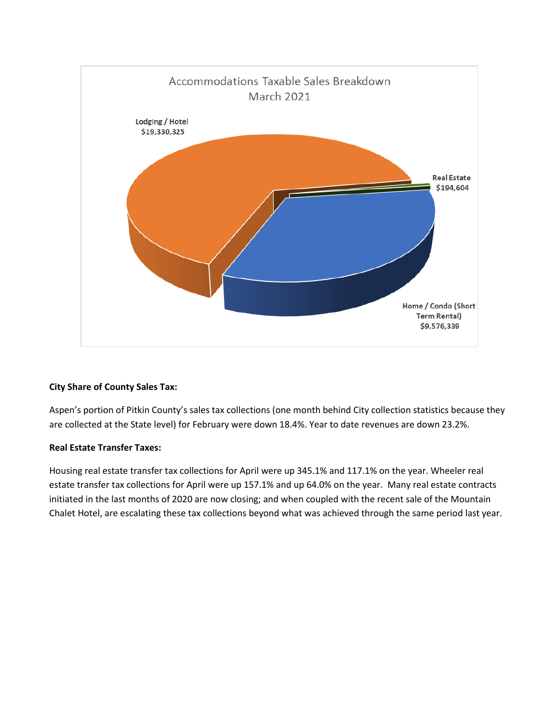

# **City Share of County Sales Tax:**

Aspen's portion of Pitkin County's sales tax collections (one month behind City collection statistics because they are collected at the State level) for February were down 18.4%. Year to date revenues are down 23.2%.

# **Real Estate Transfer Taxes:**

Housing real estate transfer tax collections for April were up 345.1% and 117.1% on the year. Wheeler real estate transfer tax collections for April were up 157.1% and up 64.0% on the year. Many real estate contracts initiated in the last months of 2020 are now closing; and when coupled with the recent sale of the Mountain Chalet Hotel, are escalating these tax collections beyond what was achieved through the same period last year.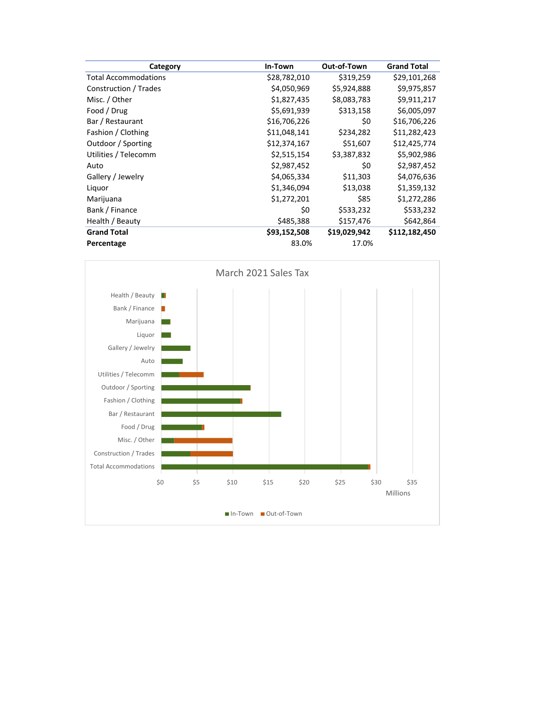| Category                    | In-Town      | Out-of-Town  | <b>Grand Total</b> |
|-----------------------------|--------------|--------------|--------------------|
| <b>Total Accommodations</b> | \$28,782,010 | \$319,259    | \$29,101,268       |
| Construction / Trades       | \$4,050,969  | \$5,924,888  | \$9,975,857        |
| Misc. / Other               | \$1,827,435  | \$8,083,783  | \$9,911,217        |
| Food / Drug                 | \$5,691,939  | \$313,158    | \$6,005,097        |
| Bar / Restaurant            | \$16,706,226 | \$0          | \$16,706,226       |
| Fashion / Clothing          | \$11,048,141 | \$234,282    | \$11,282,423       |
| Outdoor / Sporting          | \$12,374,167 | \$51,607     | \$12,425,774       |
| Utilities / Telecomm        | \$2,515,154  | \$3,387,832  | \$5,902,986        |
| Auto                        | \$2,987,452  | \$0          | \$2,987,452        |
| Gallery / Jewelry           | \$4,065,334  | \$11,303     | \$4,076,636        |
| Liquor                      | \$1,346,094  | \$13,038     | \$1,359,132        |
| Marijuana                   | \$1,272,201  | \$85         | \$1,272,286        |
| Bank / Finance              | \$0          | \$533,232    | \$533,232          |
| Health / Beauty             | \$485,388    | \$157,476    | \$642,864          |
| <b>Grand Total</b>          | \$93,152,508 | \$19,029,942 | \$112,182,450      |
| Percentage                  | 83.0%        | 17.0%        |                    |

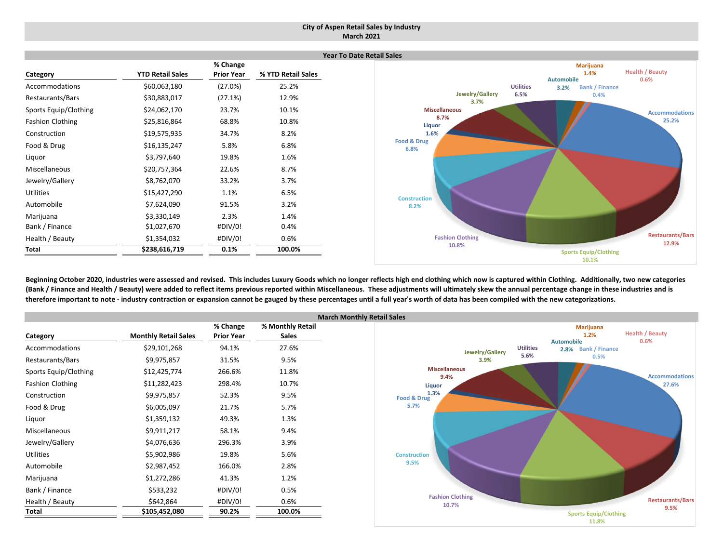### **City of Aspen Retail Sales by Industry March 2021**

|                         |                         |                   |                    | Year To |
|-------------------------|-------------------------|-------------------|--------------------|---------|
|                         |                         | % Change          |                    |         |
| Category                | <b>YTD Retail Sales</b> | <b>Prior Year</b> | % YTD Retail Sales |         |
| Accommodations          | \$60,063,180            | (27.0%)           | 25.2%              |         |
| Restaurants/Bars        | \$30,883,017            | (27.1%)           | 12.9%              |         |
| Sports Equip/Clothing   | \$24,062,170            | 23.7%             | 10.1%              |         |
| <b>Fashion Clothing</b> | \$25,816,864            | 68.8%             | 10.8%              |         |
| Construction            | \$19,575,935            | 34.7%             | 8.2%               |         |
| Food & Drug             | \$16,135,247            | 5.8%              | 6.8%               |         |
| Liquor                  | \$3,797,640             | 19.8%             | 1.6%               |         |
| Miscellaneous           | \$20,757,364            | 22.6%             | 8.7%               |         |
| Jewelry/Gallery         | \$8,762,070             | 33.2%             | 3.7%               |         |
| <b>Utilities</b>        | \$15,427,290            | 1.1%              | 6.5%               |         |
| Automobile              | \$7,624,090             | 91.5%             | 3.2%               |         |
| Marijuana               | \$3,330,149             | 2.3%              | 1.4%               |         |
| Bank / Finance          | \$1,027,670             | #DIV/0!           | 0.4%               |         |
| Health / Beauty         | \$1,354,032             | #DIV/0!           | 0.6%               |         |
| Total                   | \$238,616,719           | 0.1%              | 100.0%             |         |



Beginning October 2020, industries were assessed and revised. This includes Luxury Goods which no longer reflects high end clothing which now is captured within Clothing. Additionally, two new categories (Bank / Finance and Health / Beauty) were added to reflect items previous reported within Miscellaneous. These adjustments will ultimately skew the annual percentage change in these industries and is therefore important to note - industry contraction or expansion cannot be gauged by these percentages until a full year's worth of data has been compiled with the new categorizations.

|                         |                             |                   | Ma               |
|-------------------------|-----------------------------|-------------------|------------------|
|                         |                             | % Change          | % Monthly Retail |
| Category                | <b>Monthly Retail Sales</b> | <b>Prior Year</b> | <b>Sales</b>     |
| Accommodations          | \$29,101,268                | 94.1%             | 27.6%            |
| Restaurants/Bars        | \$9,975,857                 | 31.5%             | 9.5%             |
| Sports Equip/Clothing   | \$12,425,774                | 266.6%            | 11.8%            |
| <b>Fashion Clothing</b> | \$11,282,423                | 298.4%            | 10.7%            |
| Construction            | \$9,975,857                 | 52.3%             | 9.5%             |
| Food & Drug             | \$6,005,097                 | 21.7%             | 5.7%             |
| Liquor                  | \$1,359,132                 | 49.3%             | 1.3%             |
| <b>Miscellaneous</b>    | \$9,911,217                 | 58.1%             | 9.4%             |
| Jewelry/Gallery         | \$4,076,636                 | 296.3%            | 3.9%             |
| <b>Utilities</b>        | \$5,902,986                 | 19.8%             | 5.6%             |
| Automobile              | \$2,987,452                 | 166.0%            | 2.8%             |
| Marijuana               | \$1,272,286                 | 41.3%             | 1.2%             |
| Bank / Finance          | \$533,232                   | #DIV/0!           | 0.5%             |
| Health / Beauty         | \$642,864                   | #DIV/0!           | 0.6%             |
| Total                   | \$105,452,080               | 90.2%             | 100.0%           |

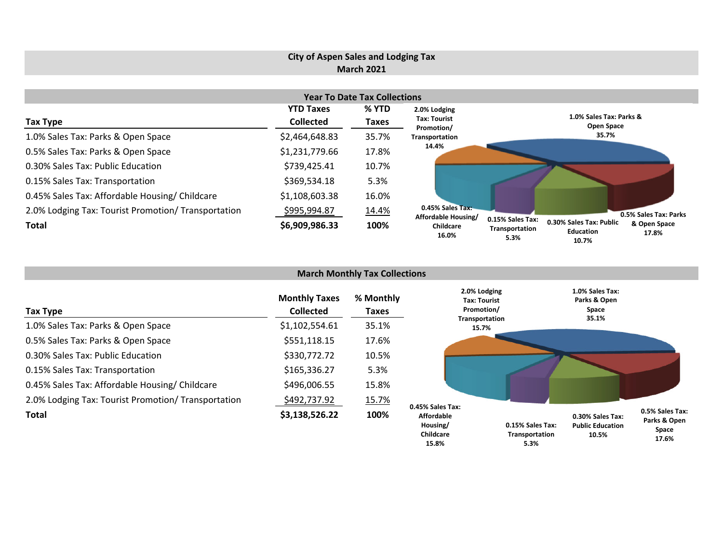# **City of Aspen Sales and Lodging Tax March 2021**

|                                                     |                      | <b>Year To Date Tax Collections</b> |                                         |                                                                                                                              |
|-----------------------------------------------------|----------------------|-------------------------------------|-----------------------------------------|------------------------------------------------------------------------------------------------------------------------------|
|                                                     | <b>YTD Taxes</b>     | % YTD                               | 2.0% Lodging                            |                                                                                                                              |
| <b>Tax Type</b>                                     | <b>Collected</b>     | Taxes                               | <b>Tax: Tourist</b><br>Promotion/       | 1.0% Sales Tax: Parks &<br>Open Space                                                                                        |
| 1.0% Sales Tax: Parks & Open Space                  | \$2,464,648.83       | 35.7%                               | Transportation                          | 35.7%                                                                                                                        |
| 0.5% Sales Tax: Parks & Open Space                  | \$1,231,779.66       | 17.8%                               | 14.4%                                   |                                                                                                                              |
| 0.30% Sales Tax: Public Education                   | \$739,425.41         | 10.7%                               |                                         |                                                                                                                              |
| 0.15% Sales Tax: Transportation                     | \$369,534.18         | 5.3%                                |                                         |                                                                                                                              |
| 0.45% Sales Tax: Affordable Housing/ Childcare      | \$1,108,603.38       | 16.0%                               |                                         |                                                                                                                              |
| 2.0% Lodging Tax: Tourist Promotion/ Transportation | \$ <u>995,994.87</u> | <u>14.4%</u>                        | 0.45% Sales Tax:<br>Affordable Housing/ | 0.5% Sales Tax: Parks                                                                                                        |
| <b>Total</b>                                        | \$6,909,986.33       | 100%                                | Childcare<br>16.0%                      | 0.15% Sales Tax:<br>0.30% Sales Tax: Public<br>& Open Space<br>Transportation<br><b>Education</b><br>17.8%<br>5.3%<br>10.70/ |

|                                                     |                                          | <b>March Monthly Tax Collections</b> |                                            |                                    |                                                      |                                                   |
|-----------------------------------------------------|------------------------------------------|--------------------------------------|--------------------------------------------|------------------------------------|------------------------------------------------------|---------------------------------------------------|
| Tax Type                                            | <b>Monthly Taxes</b><br><b>Collected</b> | % Monthly<br>Taxes                   | 2.0% Lodging<br>Tax: Tourist<br>Promotion/ |                                    | 1.0% Sales Tax:<br>Parks & Open<br>Space             |                                                   |
| 1.0% Sales Tax: Parks & Open Space                  | \$1,102,554.61                           | 35.1%                                | Transportation<br>15.7%                    |                                    | 35.1%                                                |                                                   |
| 0.5% Sales Tax: Parks & Open Space                  | \$551,118.15                             | 17.6%                                |                                            |                                    |                                                      |                                                   |
| 0.30% Sales Tax: Public Education                   | \$330,772.72                             | 10.5%                                |                                            |                                    |                                                      |                                                   |
| 0.15% Sales Tax: Transportation                     | \$165,336.27                             | 5.3%                                 |                                            |                                    |                                                      |                                                   |
| 0.45% Sales Tax: Affordable Housing/ Childcare      | \$496,006.55                             | 15.8%                                |                                            |                                    |                                                      |                                                   |
| 2.0% Lodging Tax: Tourist Promotion/ Transportation | \$492,737.92                             | 15.7%                                | 0.45% Sales Tax:                           |                                    |                                                      |                                                   |
| <b>Total</b>                                        | \$3,138,526.22                           | 100%                                 | <b>Affordable</b><br>Housing/<br>Childcare | 0.15% Sales Tax:<br>Transportation | 0.30% Sales Tax:<br><b>Public Education</b><br>10.5% | 0.5% Sales Tax:<br>Parks & Open<br>Space<br>17C0/ |

**17.6%**

**5.3%**

**10.7%**

**15.8%**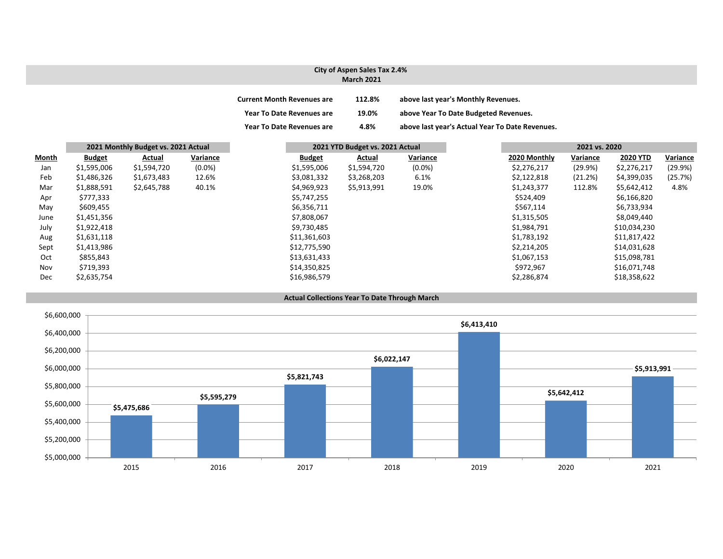### **City of Aspen Sales Tax 2.4% March 2021**

| <b>Current Month Revenues are</b> | 112.8% | above last year's Monthly Revenues.             |
|-----------------------------------|--------|-------------------------------------------------|
| <b>Year To Date Revenues are</b>  | 19.0%  | above Year To Date Budgeted Revenues.           |
| <b>Year To Date Revenues are</b>  | 4.8%   | above last year's Actual Year To Date Revenues. |

|              |               | 2021 Monthly Budget vs. 2021 Actual |           |               | 2021 YTD Budget vs. 2021 Actual |           |              | 2021 vs. 2020 |                 |          |
|--------------|---------------|-------------------------------------|-----------|---------------|---------------------------------|-----------|--------------|---------------|-----------------|----------|
| <b>Month</b> | <b>Budget</b> | Actual                              | Variance  | <b>Budget</b> | Actual                          | Variance  | 2020 Monthly | Variance      | <b>2020 YTD</b> | Variance |
| Jan          | \$1,595,006   | \$1,594,720                         | $(0.0\%)$ | \$1,595,006   | \$1,594,720                     | $(0.0\%)$ | \$2,276,217  | (29.9%)       | \$2,276,217     | (29.9%)  |
| Feb          | \$1,486,326   | \$1,673,483                         | 12.6%     | \$3,081,332   | \$3,268,203                     | 6.1%      | \$2,122,818  | (21.2%)       | \$4,399,035     | (25.7%)  |
| Mar          | \$1,888,591   | \$2,645,788                         | 40.1%     | \$4,969,923   | \$5,913,991                     | 19.0%     | \$1,243,377  | 112.8%        | \$5,642,412     | 4.8%     |
| Apr          | \$777,333     |                                     |           | \$5,747,255   |                                 |           | \$524,409    |               | \$6,166,820     |          |
| May          | \$609,455     |                                     |           | \$6,356,711   |                                 |           | \$567,114    |               | \$6,733,934     |          |
| June         | \$1,451,356   |                                     |           | \$7,808,067   |                                 |           | \$1,315,505  |               | \$8,049,440     |          |
| July         | \$1,922,418   |                                     |           | \$9,730,485   |                                 |           | \$1,984,791  |               | \$10,034,230    |          |
| Aug          | \$1,631,118   |                                     |           | \$11,361,603  |                                 |           | \$1,783,192  |               | \$11,817,422    |          |
| Sept         | \$1,413,986   |                                     |           | \$12,775,590  |                                 |           | \$2,214,205  |               | \$14,031,628    |          |
| Oct          | \$855,843     |                                     |           | \$13,631,433  |                                 |           | \$1,067,153  |               | \$15,098,781    |          |
| Nov          | \$719,393     |                                     |           | \$14,350,825  |                                 |           | \$972,967    |               | \$16,071,748    |          |
| Dec          | \$2,635,754   |                                     |           | \$16,986,579  |                                 |           | \$2,286,874  |               | \$18,358,622    |          |

#### **Actual Collections Year To Date Through March**

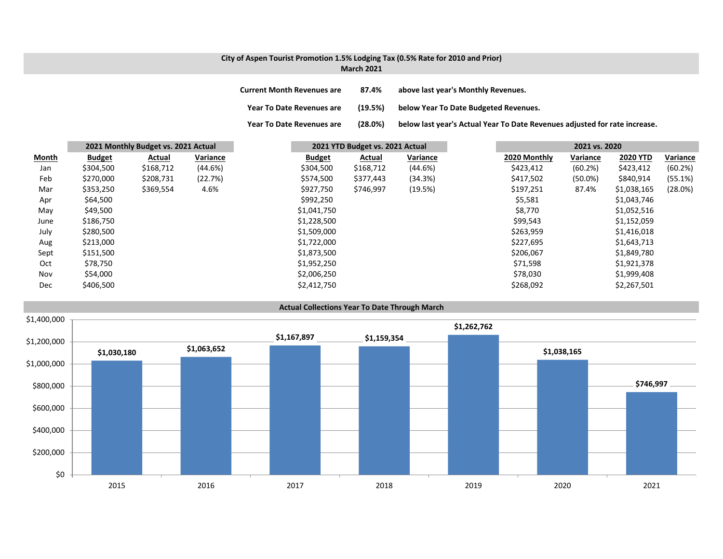### **City of Aspen Tourist Promotion 1.5% Lodging Tax (0.5% Rate for 2010 and Prior) March 2021**

| <b>Current Month Revenues are</b> | 87.4% | above last year's Monthly Revenues. |
|-----------------------------------|-------|-------------------------------------|
|                                   |       |                                     |

**Year ToDate Revenues are (19.5%) below Year To Date Budgeted Revenues.**

**Year To**

(28.0%) below last year's Actual Year To Date Revenues adjusted for rate increase.

|              |               | 2021 Monthly Budget vs. 2021 Actual |          |               | 2021 YTD Budget vs. 2021 Actual |          |              | 2021 vs. 2020 |                 |          |
|--------------|---------------|-------------------------------------|----------|---------------|---------------------------------|----------|--------------|---------------|-----------------|----------|
| <b>Month</b> | <b>Budget</b> | Actual                              | Variance | <b>Budget</b> | Actual                          | Variance | 2020 Monthly | Variance      | <b>2020 YTD</b> | Variance |
| Jan          | \$304,500     | \$168,712                           | (44.6%)  | \$304,500     | \$168,712                       | (44.6%)  | \$423,412    | (60.2%)       | \$423,412       | (60.2%)  |
| Feb          | \$270,000     | \$208,731                           | (22.7%)  | \$574,500     | \$377,443                       | (34.3%)  | \$417,502    | $(50.0\%)$    | \$840,914       | (55.1%)  |
| Mar          | \$353,250     | \$369,554                           | 4.6%     | \$927,750     | \$746,997                       | (19.5%)  | \$197,251    | 87.4%         | \$1,038,165     | (28.0%)  |
| Apr          | \$64,500      |                                     |          | \$992,250     |                                 |          | \$5,581      |               | \$1,043,746     |          |
| May          | \$49,500      |                                     |          | \$1,041,750   |                                 |          | \$8,770      |               | \$1,052,516     |          |
| June         | \$186,750     |                                     |          | \$1,228,500   |                                 |          | \$99,543     |               | \$1,152,059     |          |
| July         | \$280,500     |                                     |          | \$1,509,000   |                                 |          | \$263,959    |               | \$1,416,018     |          |
| Aug          | \$213,000     |                                     |          | \$1,722,000   |                                 |          | \$227,695    |               | \$1,643,713     |          |
| Sept         | \$151,500     |                                     |          | \$1,873,500   |                                 |          | \$206,067    |               | \$1,849,780     |          |
| Oct          | \$78,750      |                                     |          | \$1,952,250   |                                 |          | \$71,598     |               | \$1,921,378     |          |
| Nov          | \$54,000      |                                     |          | \$2,006,250   |                                 |          | \$78,030     |               | \$1,999,408     |          |
| <b>Dec</b>   | \$406,500     |                                     |          | \$2,412,750   |                                 |          | \$268,092    |               | \$2,267,501     |          |

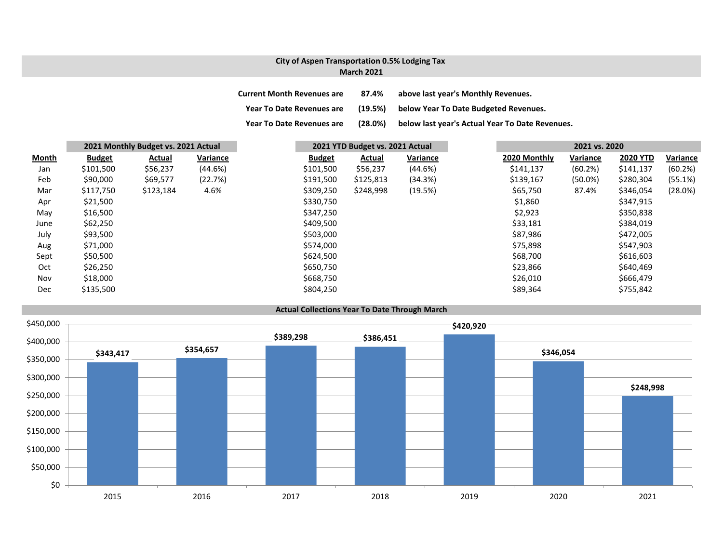## **City of Aspen Transportation 0.5% Lodging Tax March 2021**

| <b>Current Month Revenues are</b> | 87.4%   | above last year's Monthly Revenues.             |
|-----------------------------------|---------|-------------------------------------------------|
| <b>Year To Date Revenues are</b>  | (19.5%) | below Year To Date Budgeted Revenues.           |
| <b>Year To Date Revenues are</b>  | (28.0%) | below last year's Actual Year To Date Revenues. |

|              |               | 2021 Monthly Budget vs. 2021 Actual |          |               | 2021 YTD Budget vs. 2021 Actual |          |              | 2021 vs. 2020 |                 |          |
|--------------|---------------|-------------------------------------|----------|---------------|---------------------------------|----------|--------------|---------------|-----------------|----------|
| <b>Month</b> | <b>Budget</b> | Actual                              | Variance | <b>Budget</b> | <b>Actual</b>                   | Variance | 2020 Monthly | Variance      | <b>2020 YTD</b> | Variance |
| Jan          | \$101,500     | \$56,237                            | (44.6%)  | \$101,500     | \$56,237                        | (44.6%)  | \$141,137    | (60.2%)       | \$141,137       | (60.2%)  |
| Feb          | \$90,000      | \$69,577                            | (22.7%)  | \$191,500     | \$125,813                       | (34.3%)  | \$139,167    | $(50.0\%)$    | \$280,304       | (55.1%)  |
| Mar          | \$117,750     | \$123,184                           | 4.6%     | \$309,250     | \$248,998                       | (19.5%)  | \$65,750     | 87.4%         | \$346,054       | (28.0%)  |
| Apr          | \$21,500      |                                     |          | \$330,750     |                                 |          | \$1,860      |               | \$347,915       |          |
| May          | \$16,500      |                                     |          | \$347,250     |                                 |          | \$2,923      |               | \$350,838       |          |
| June         | \$62,250      |                                     |          | \$409,500     |                                 |          | \$33,181     |               | \$384,019       |          |
| July         | \$93,500      |                                     |          | \$503,000     |                                 |          | \$87,986     |               | \$472,005       |          |
| Aug          | \$71,000      |                                     |          | \$574,000     |                                 |          | \$75,898     |               | \$547,903       |          |
| Sept         | \$50,500      |                                     |          | \$624,500     |                                 |          | \$68,700     |               | \$616,603       |          |
| Oct          | \$26,250      |                                     |          | \$650,750     |                                 |          | \$23,866     |               | \$640,469       |          |
| Nov          | \$18,000      |                                     |          | \$668,750     |                                 |          | \$26,010     |               | \$666,479       |          |
| Dec          | \$135,500     |                                     |          | \$804,250     |                                 |          | \$89,364     |               | \$755,842       |          |

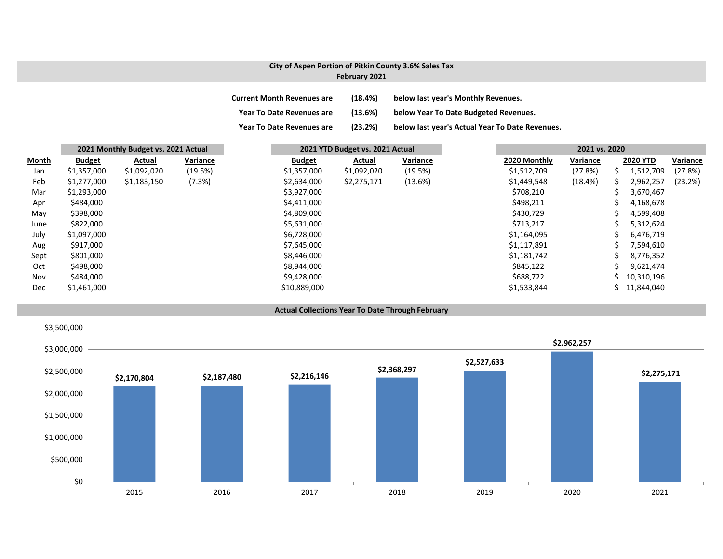## **City of Aspen Portion of Pitkin County 3.6% Sales Tax February 2021**

| <b>Current Month Revenues are</b> | (18.4%) | below last year's Monthly Revenues.             |
|-----------------------------------|---------|-------------------------------------------------|
| <b>Year To Date Revenues are</b>  | (13.6%) | below Year To Date Budgeted Revenues.           |
| <b>Year To Date Revenues are</b>  | (23.2%) | below last year's Actual Year To Date Revenues. |

|       | 2021 Monthly Budget vs. 2021 Actual |             |          |               | 2021 YTD Budget vs. 2021 Actual |          |  | 2021 vs. 2020 |          |  |                 |          |
|-------|-------------------------------------|-------------|----------|---------------|---------------------------------|----------|--|---------------|----------|--|-----------------|----------|
| Month | <b>Budget</b>                       | Actual      | Variance | <b>Budget</b> | Actual                          | Variance |  | 2020 Monthly  | Variance |  | <b>2020 YTD</b> | Variance |
| Jan   | \$1,357,000                         | \$1,092,020 | (19.5%)  | \$1,357,000   | \$1,092,020                     | (19.5%)  |  | \$1,512,709   | (27.8%)  |  | 1,512,709       | (27.8%)  |
| Feb   | \$1,277,000                         | \$1,183,150 | (7.3%)   | \$2,634,000   | \$2,275,171                     | (13.6%)  |  | \$1,449,548   | (18.4%)  |  | 2,962,257       | (23.2%)  |
| Mar   | \$1,293,000                         |             |          | \$3,927,000   |                                 |          |  | \$708,210     |          |  | 3,670,467       |          |
| Apr   | \$484,000                           |             |          | \$4,411,000   |                                 |          |  | \$498,211     |          |  | 4,168,678       |          |
| May   | \$398,000                           |             |          | \$4,809,000   |                                 |          |  | \$430,729     |          |  | 4,599,408       |          |
| June  | \$822,000                           |             |          | \$5,631,000   |                                 |          |  | \$713,217     |          |  | 5,312,624       |          |
| July  | \$1,097,000                         |             |          | \$6,728,000   |                                 |          |  | \$1,164,095   |          |  | 6,476,719       |          |
| Aug   | \$917,000                           |             |          | \$7,645,000   |                                 |          |  | \$1,117,891   |          |  | 7,594,610       |          |
| Sept  | \$801,000                           |             |          | \$8,446,000   |                                 |          |  | \$1,181,742   |          |  | 8,776,352       |          |
| Oct   | \$498,000                           |             |          | \$8,944,000   |                                 |          |  | \$845,122     |          |  | 9,621,474       |          |
| Nov   | \$484,000                           |             |          | \$9,428,000   |                                 |          |  | \$688,722     |          |  | 10,310,196      |          |
| Dec   | \$1,461,000                         |             |          | \$10,889,000  |                                 |          |  | \$1,533,844   |          |  | 11,844,040      |          |



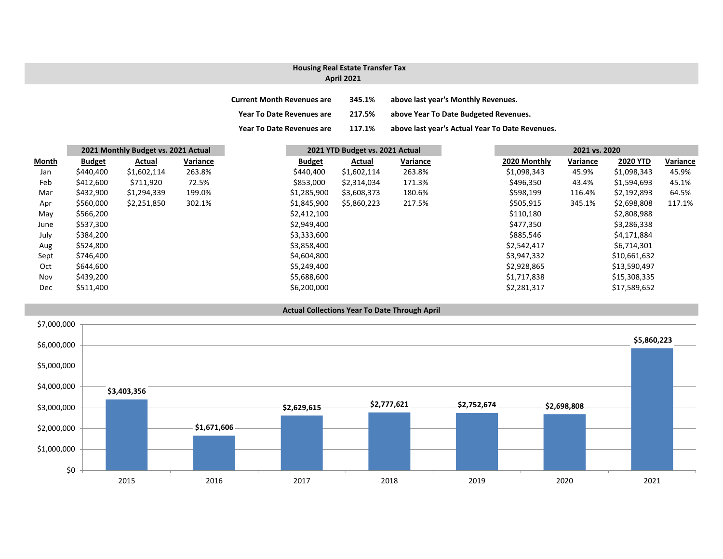# **Housing Real Estate Transfer Tax**

## **April 2021**

| <b>Current Month Revenues are</b> | 345.1% | above last year's Monthly Revenues.             |
|-----------------------------------|--------|-------------------------------------------------|
| Year To Date Revenues are         | 217.5% | above Year To Date Budgeted Revenues.           |
| <b>Year To Date Revenues are</b>  | 117.1% | above last year's Actual Year To Date Revenues. |

|              |               | 2021 Monthly Budget vs. 2021 Actual |          |             | 2021 YTD Budget vs. 2021 Actual |             |          | 2021 vs. 2020 |          |                 |          |
|--------------|---------------|-------------------------------------|----------|-------------|---------------------------------|-------------|----------|---------------|----------|-----------------|----------|
| <u>Month</u> | <b>Budget</b> | Actual                              | Variance |             | <b>Budget</b>                   | Actual      | Variance | 2020 Monthly  | Variance | <b>2020 YTD</b> | Variance |
| Jan          | \$440,400     | \$1,602,114                         | 263.8%   | \$440,400   |                                 | \$1,602,114 | 263.8%   | \$1,098,343   | 45.9%    | \$1,098,343     |          |
| Feb          | \$412,600     | \$711,920                           | 72.5%    | \$853,000   |                                 | \$2,314,034 | 171.3%   | \$496,350     | 43.4%    | \$1,594,693     |          |
| Mar          | \$432,900     | \$1,294,339                         | 199.0%   | \$1,285,900 |                                 | \$3,608,373 | 180.6%   | \$598,199     | 116.4%   | \$2,192,893     |          |
| Apr          | \$560,000     | \$2,251,850                         | 302.1%   | \$1,845,900 |                                 | \$5,860,223 | 217.5%   | \$505,915     | 345.1%   | \$2,698,808     |          |
| May          | \$566,200     |                                     |          | \$2,412,100 |                                 |             |          | \$110,180     |          | \$2,808,988     |          |
| June         | \$537,300     |                                     |          | \$2,949,400 |                                 |             |          | \$477,350     |          | \$3,286,338     |          |
| July         | \$384,200     |                                     |          | \$3,333,600 |                                 |             |          | \$885,546     |          | \$4,171,884     |          |
| Aug          | \$524,800     |                                     |          | \$3,858,400 |                                 |             |          | \$2,542,417   |          | \$6,714,301     |          |
| Sept         | \$746,400     |                                     |          | \$4,604,800 |                                 |             |          | \$3,947,332   |          | \$10,661,632    |          |
| Oct          | \$644,600     |                                     |          | \$5,249,400 |                                 |             |          | \$2,928,865   |          | \$13,590,497    |          |
| Nov          | \$439,200     |                                     |          | \$5,688,600 |                                 |             |          | \$1,717,838   |          | \$15,308,335    |          |
| Dec          | \$511,400     |                                     |          | \$6,200,000 |                                 |             |          | \$2,281,317   |          | \$17,589,652    |          |